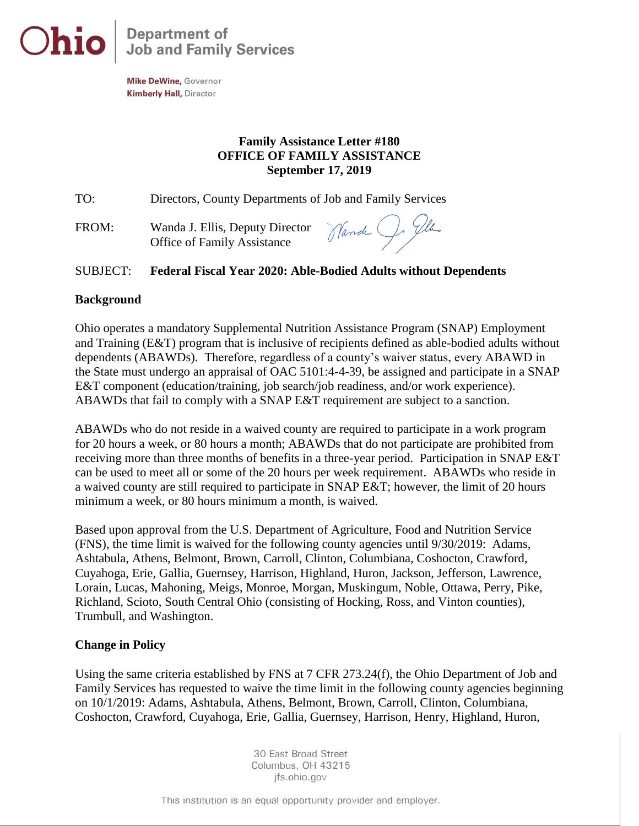

Mike DeWine, Governor **Kimberly Hall, Director** 

## **Family Assistance Letter #180 OFFICE OF FAMILY ASSISTANCE September 17, 2019**

TO: Directors, County Departments of Job and Family Services

FROM: Wanda J. Ellis, Deputy Director Office of Family Assistance

Nande J. Gla:

## SUBJECT: **Federal Fiscal Year 2020: Able-Bodied Adults without Dependents**

## **Background**

Ohio operates a mandatory Supplemental Nutrition Assistance Program (SNAP) Employment and Training (E&T) program that is inclusive of recipients defined as able-bodied adults without dependents (ABAWDs). Therefore, regardless of a county's waiver status, every ABAWD in the State must undergo an appraisal of OAC 5101:4-4-39, be assigned and participate in a SNAP E&T component (education/training, job search/job readiness, and/or work experience). ABAWDs that fail to comply with a SNAP E&T requirement are subject to a sanction.

ABAWDs who do not reside in a waived county are required to participate in a work program for 20 hours a week, or 80 hours a month; ABAWDs that do not participate are prohibited from receiving more than three months of benefits in a three-year period. Participation in SNAP E&T can be used to meet all or some of the 20 hours per week requirement. ABAWDs who reside in a waived county are still required to participate in SNAP E&T; however, the limit of 20 hours minimum a week, or 80 hours minimum a month, is waived.

Based upon approval from the U.S. Department of Agriculture, Food and Nutrition Service (FNS), the time limit is waived for the following county agencies until 9/30/2019: Adams, Ashtabula, Athens, Belmont, Brown, Carroll, Clinton, Columbiana, Coshocton, Crawford, Cuyahoga, Erie, Gallia, Guernsey, Harrison, Highland, Huron, Jackson, Jefferson, Lawrence, Lorain, Lucas, Mahoning, Meigs, Monroe, Morgan, Muskingum, Noble, Ottawa, Perry, Pike, Richland, Scioto, South Central Ohio (consisting of Hocking, Ross, and Vinton counties), Trumbull, and Washington.

## **Change in Policy**

Using the same criteria established by FNS at 7 CFR 273.24(f), the Ohio Department of Job and Family Services has requested to waive the time limit in the following county agencies beginning on 10/1/2019: Adams, Ashtabula, Athens, Belmont, Brown, Carroll, Clinton, Columbiana, Coshocton, Crawford, Cuyahoga, Erie, Gallia, Guernsey, Harrison, Henry, Highland, Huron,

> 30 East Broad Street Columbus, OH 43215 ifs.ohio.gov